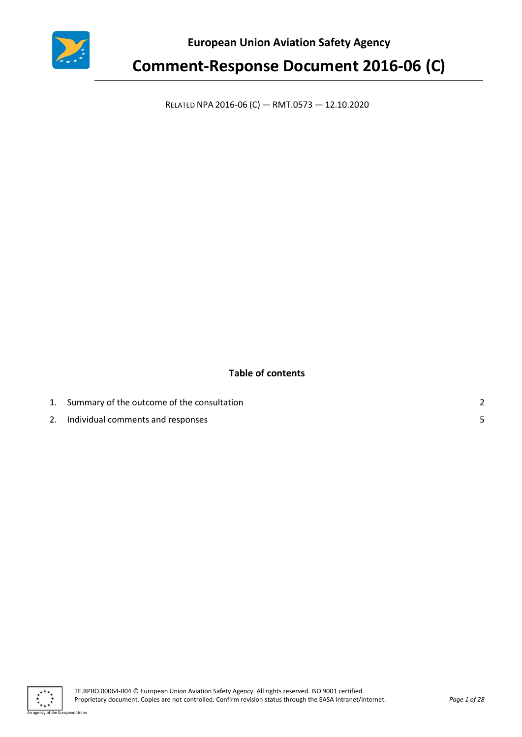

**European Union Aviation Safety Agency**

## **Comment-Response Document 2016-06 (C)**

RELATED NPA 2016-06 (C) — RMT.0573 — 12.10.2020

### **Table of contents**

| 1. Summary of the outcome of the consultation |  |
|-----------------------------------------------|--|
| Individual comments and responses             |  |

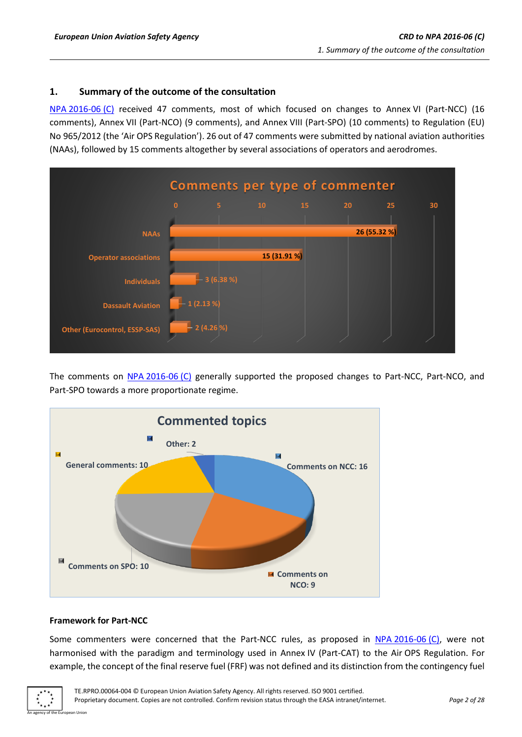#### <span id="page-1-0"></span>**1. Summary of the outcome of the consultation**

NPA [2016-06](https://www.easa.europa.eu/document-library/notices-of-proposed-amendment/npa-2016-06-c) (C) received 47 comments, most of which focused on changes to Annex VI (Part-NCC) (16 comments), Annex VII (Part-NCO) (9 comments), and Annex VIII (Part-SPO) (10 comments) to Regulation (EU) No 965/2012 (the 'Air OPS Regulation'). 26 out of 47 comments were submitted by national aviation authorities (NAAs), followed by 15 comments altogether by several associations of operators and aerodromes.



The comments on NPA [2016-06](https://www.easa.europa.eu/document-library/notices-of-proposed-amendment/npa-2016-06-c) (C) generally supported the proposed changes to Part-NCC, Part-NCO, and Part-SPO towards a more proportionate regime.



#### **Framework for Part-NCC**

Some commenters were concerned that the Part-NCC rules, as proposed in NPA [2016-06](https://www.easa.europa.eu/document-library/notices-of-proposed-amendment/npa-2016-06-c) (C), were not harmonised with the paradigm and terminology used in Annex IV (Part-CAT) to the Air OPS Regulation. For example, the concept of the final reserve fuel (FRF) was not defined and its distinction from the contingency fuel

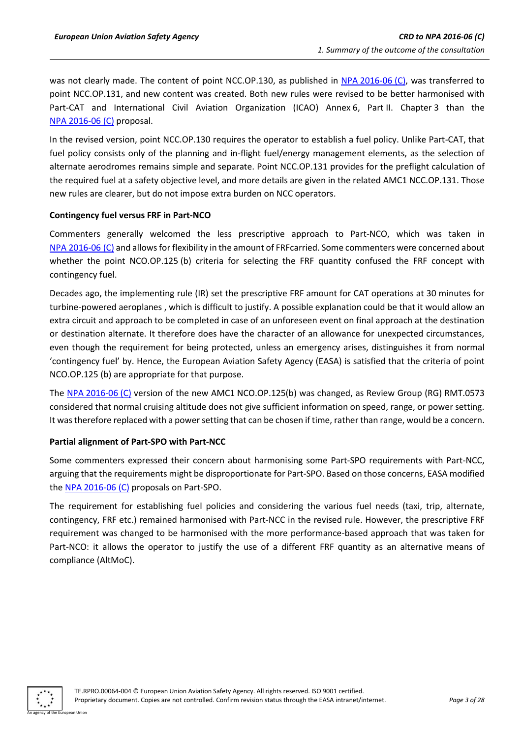was not clearly made. The content of point NCC.OP.130, as published in NPA [2016-06](https://www.easa.europa.eu/document-library/notices-of-proposed-amendment/npa-2016-06-c) (C), was transferred to point NCC.OP.131, and new content was created. Both new rules were revised to be better harmonised with Part-CAT and International Civil Aviation Organization (ICAO) Annex 6, Part II. Chapter 3 than the NPA [2016-06](https://www.easa.europa.eu/document-library/notices-of-proposed-amendment/npa-2016-06-c) (C) proposal.

In the revised version, point NCC.OP.130 requires the operator to establish a fuel policy. Unlike Part-CAT, that fuel policy consists only of the planning and in-flight fuel/energy management elements, as the selection of alternate aerodromes remains simple and separate. Point NCC.OP.131 provides for the preflight calculation of the required fuel at a safety objective level, and more details are given in the related AMC1 NCC.OP.131. Those new rules are clearer, but do not impose extra burden on NCC operators.

#### **Contingency fuel versus FRF in Part-NCO**

Commenters generally welcomed the less prescriptive approach to Part-NCO, which was taken in NPA [2016-06](https://www.easa.europa.eu/document-library/notices-of-proposed-amendment/npa-2016-06-c) (C) and allows for flexibility in the amount of FRFcarried. Some commenters were concerned about whether the point NCO.OP.125 (b) criteria for selecting the FRF quantity confused the FRF concept with contingency fuel.

Decades ago, the implementing rule (IR) set the prescriptive FRF amount for CAT operations at 30 minutes for turbine-powered aeroplanes , which is difficult to justify. A possible explanation could be that it would allow an extra circuit and approach to be completed in case of an unforeseen event on final approach at the destination or destination alternate. It therefore does have the character of an allowance for unexpected circumstances, even though the requirement for being protected, unless an emergency arises, distinguishes it from normal 'contingency fuel' by. Hence, the European Aviation Safety Agency (EASA) is satisfied that the criteria of point NCO.OP.125 (b) are appropriate for that purpose.

The NPA [2016-06](https://www.easa.europa.eu/document-library/notices-of-proposed-amendment/npa-2016-06-c) (C) version of the new AMC1 NCO.OP.125(b) was changed, as Review Group (RG) RMT.0573 considered that normal cruising altitude does not give sufficient information on speed, range, or power setting. It was therefore replaced with a power setting that can be chosen if time, rather than range, would be a concern.

#### **Partial alignment of Part-SPO with Part-NCC**

Some commenters expressed their concern about harmonising some Part-SPO requirements with Part-NCC, arguing that the requirements might be disproportionate for Part-SPO. Based on those concerns, EASA modified the NPA [2016-06](https://www.easa.europa.eu/document-library/notices-of-proposed-amendment/npa-2016-06-c) (C) proposals on Part-SPO.

The requirement for establishing fuel policies and considering the various fuel needs (taxi, trip, alternate, contingency, FRF etc.) remained harmonised with Part-NCC in the revised rule. However, the prescriptive FRF requirement was changed to be harmonised with the more performance-based approach that was taken for Part-NCO: it allows the operator to justify the use of a different FRF quantity as an alternative means of compliance (AltMoC).

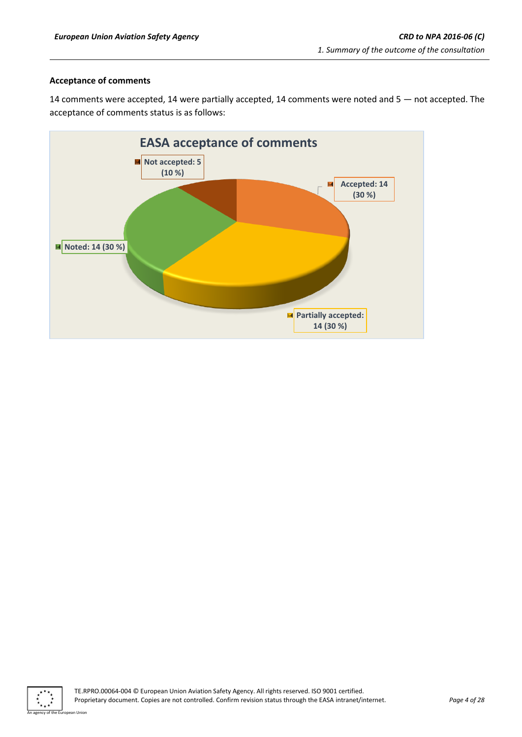#### **Acceptance of comments**

14 comments were accepted, 14 were partially accepted, 14 comments were noted and 5 — not accepted. The acceptance of comments status is as follows:



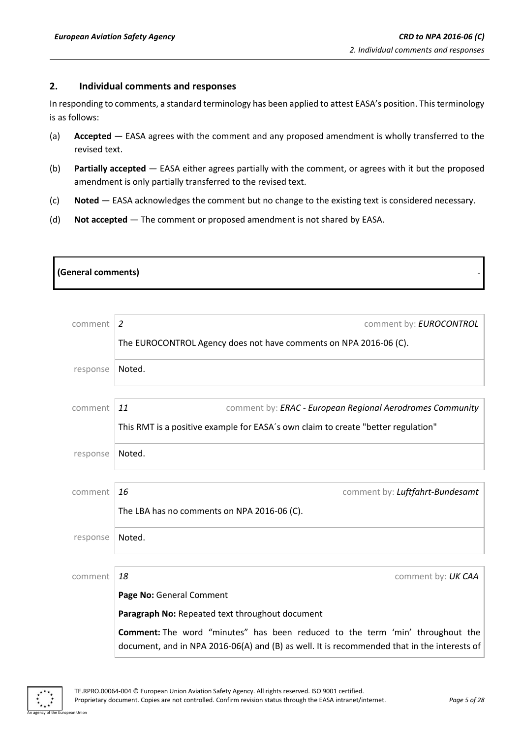#### <span id="page-4-0"></span>**2. Individual comments and responses**

In responding to comments, a standard terminology has been applied to attest EASA's position. This terminology is as follows:

- (a) **Accepted** EASA agrees with the comment and any proposed amendment is wholly transferred to the revised text.
- (b) **Partially accepted** EASA either agrees partially with the comment, or agrees with it but the proposed amendment is only partially transferred to the revised text.
- (c) **Noted** EASA acknowledges the comment but no change to the existing text is considered necessary.
- (d) **Not accepted** The comment or proposed amendment is not shared by EASA.

# **(General comments)**

| comment  | 2<br>comment by: EUROCONTROL                                                                                                                                                 |
|----------|------------------------------------------------------------------------------------------------------------------------------------------------------------------------------|
|          | The EUROCONTROL Agency does not have comments on NPA 2016-06 (C).                                                                                                            |
| response | Noted.                                                                                                                                                                       |
| comment  | 11<br>comment by: ERAC - European Regional Aerodromes Community                                                                                                              |
|          | This RMT is a positive example for EASA's own claim to create "better regulation"                                                                                            |
| response | Noted.                                                                                                                                                                       |
| comment  | 16<br>comment by: Luftfahrt-Bundesamt                                                                                                                                        |
|          | The LBA has no comments on NPA 2016-06 (C).                                                                                                                                  |
| response | Noted.                                                                                                                                                                       |
| comment  | 18<br>comment by: UK CAA                                                                                                                                                     |
|          | Page No: General Comment                                                                                                                                                     |
|          | Paragraph No: Repeated text throughout document                                                                                                                              |
|          | Comment: The word "minutes" has been reduced to the term 'min' throughout the<br>document, and in NPA 2016-06(A) and (B) as well. It is recommended that in the interests of |

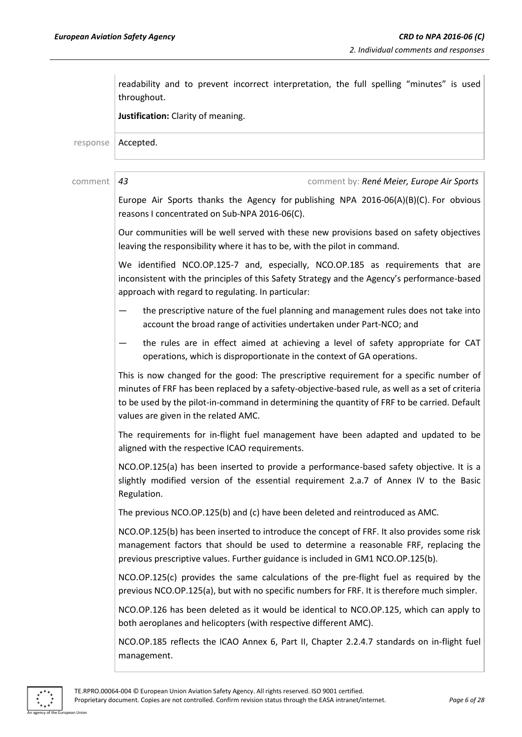|          | readability and to prevent incorrect interpretation, the full spelling "minutes" is used<br>throughout.                                                                                                                                                                                                                            |
|----------|------------------------------------------------------------------------------------------------------------------------------------------------------------------------------------------------------------------------------------------------------------------------------------------------------------------------------------|
|          | Justification: Clarity of meaning.                                                                                                                                                                                                                                                                                                 |
| response | Accepted.                                                                                                                                                                                                                                                                                                                          |
| comment  | 43<br>comment by: René Meier, Europe Air Sports                                                                                                                                                                                                                                                                                    |
|          | Europe Air Sports thanks the Agency for publishing NPA 2016-06(A)(B)(C). For obvious<br>reasons I concentrated on Sub-NPA 2016-06(C).                                                                                                                                                                                              |
|          | Our communities will be well served with these new provisions based on safety objectives<br>leaving the responsibility where it has to be, with the pilot in command.                                                                                                                                                              |
|          | We identified NCO.OP.125-7 and, especially, NCO.OP.185 as requirements that are<br>inconsistent with the principles of this Safety Strategy and the Agency's performance-based<br>approach with regard to regulating. In particular:                                                                                               |
|          | the prescriptive nature of the fuel planning and management rules does not take into<br>account the broad range of activities undertaken under Part-NCO; and                                                                                                                                                                       |
|          | the rules are in effect aimed at achieving a level of safety appropriate for CAT<br>operations, which is disproportionate in the context of GA operations.                                                                                                                                                                         |
|          | This is now changed for the good: The prescriptive requirement for a specific number of<br>minutes of FRF has been replaced by a safety-objective-based rule, as well as a set of criteria<br>to be used by the pilot-in-command in determining the quantity of FRF to be carried. Default<br>values are given in the related AMC. |
|          | The requirements for in-flight fuel management have been adapted and updated to be<br>aligned with the respective ICAO requirements.                                                                                                                                                                                               |
|          | NCO.OP.125(a) has been inserted to provide a performance-based safety objective. It is a<br>slightly modified version of the essential requirement 2.a.7 of Annex IV to the Basic<br>Regulation.                                                                                                                                   |
|          | The previous NCO.OP.125(b) and (c) have been deleted and reintroduced as AMC.                                                                                                                                                                                                                                                      |
|          | NCO.OP.125(b) has been inserted to introduce the concept of FRF. It also provides some risk<br>management factors that should be used to determine a reasonable FRF, replacing the<br>previous prescriptive values. Further guidance is included in GM1 NCO.OP.125(b).                                                             |
|          | NCO.OP.125(c) provides the same calculations of the pre-flight fuel as required by the<br>previous NCO.OP.125(a), but with no specific numbers for FRF. It is therefore much simpler.                                                                                                                                              |
|          | NCO.OP.126 has been deleted as it would be identical to NCO.OP.125, which can apply to<br>both aeroplanes and helicopters (with respective different AMC).                                                                                                                                                                         |
|          | NCO.OP.185 reflects the ICAO Annex 6, Part II, Chapter 2.2.4.7 standards on in-flight fuel<br>management.                                                                                                                                                                                                                          |

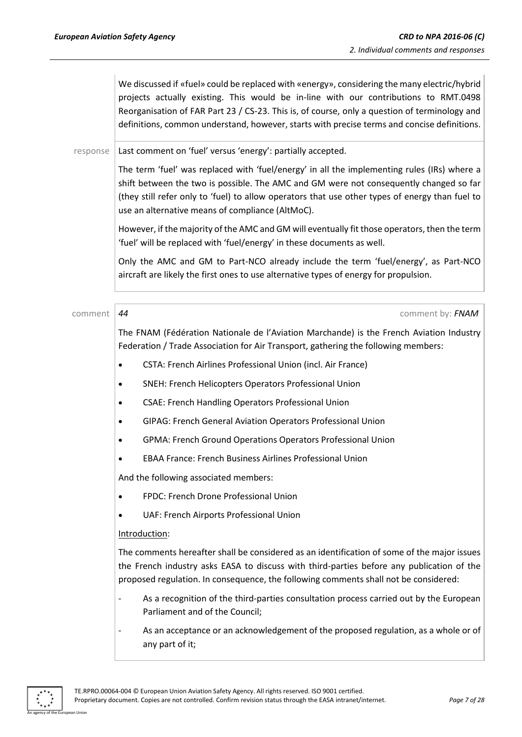We discussed if «fuel» could be replaced with «energy», considering the many electric/hybrid projects actually existing. This would be in-line with our contributions to RMT.0498 Reorganisation of FAR Part 23 / CS-23. This is, of course, only a question of terminology and definitions, common understand, however, starts with precise terms and concise definitions.

response | Last comment on 'fuel' versus 'energy': partially accepted.

The term 'fuel' was replaced with 'fuel/energy' in all the implementing rules (IRs) where a shift between the two is possible. The AMC and GM were not consequently changed so far (they still refer only to 'fuel) to allow operators that use other types of energy than fuel to use an alternative means of compliance (AltMoC).

However, if the majority of the AMC and GM will eventually fit those operators, then the term 'fuel' will be replaced with 'fuel/energy' in these documents as well.

Only the AMC and GM to Part-NCO already include the term 'fuel/energy', as Part-NCO aircraft are likely the first ones to use alternative types of energy for propulsion.

comment *44* comment by: *FNAM*

The FNAM (Fédération Nationale de l'Aviation Marchande) is the French Aviation Industry Federation / Trade Association for Air Transport, gathering the following members:

- CSTA: French Airlines Professional Union (incl. Air France)
- SNEH: French Helicopters Operators Professional Union
- CSAE: French Handling Operators Professional Union
- GIPAG: French General Aviation Operators Professional Union
- GPMA: French Ground Operations Operators Professional Union
- EBAA France: French Business Airlines Professional Union

And the following associated members:

- FPDC: French Drone Professional Union
- UAF: French Airports Professional Union

#### Introduction:

The comments hereafter shall be considered as an identification of some of the major issues the French industry asks EASA to discuss with third-parties before any publication of the proposed regulation. In consequence, the following comments shall not be considered:

- As a recognition of the third-parties consultation process carried out by the European Parliament and of the Council;
- As an acceptance or an acknowledgement of the proposed regulation, as a whole or of any part of it;

An agency of the European Union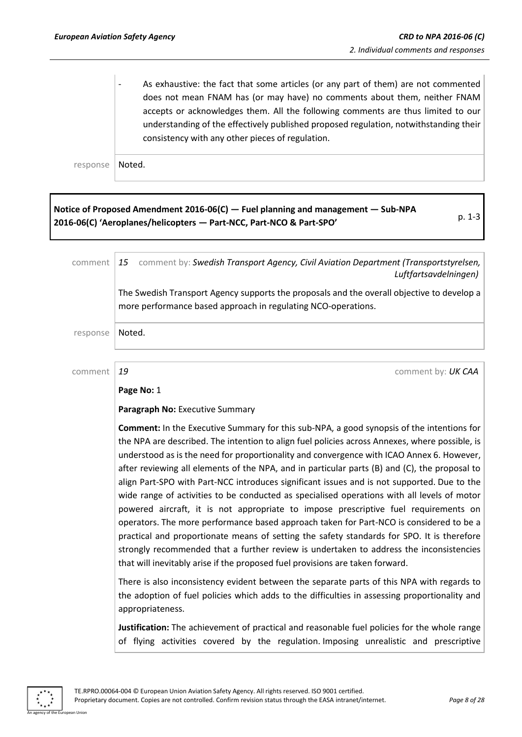As exhaustive: the fact that some articles (or any part of them) are not commented does not mean FNAM has (or may have) no comments about them, neither FNAM accepts or acknowledges them. All the following comments are thus limited to our understanding of the effectively published proposed regulation, notwithstanding their consistency with any other pieces of regulation.

response | Noted.

#### **Notice of Proposed Amendment 2016-06(C) — Fuel planning and management — Sub-NPA 2016-06(C) 'Aeroplanes/helicopters — Part-NCC, Part-NCO & Part-SPO'** p. 1-3

comment *15* comment by: *Swedish Transport Agency, Civil Aviation Department (Transportstyrelsen, Luftfartsavdelningen)* The Swedish Transport Agency supports the proposals and the overall objective to develop a more performance based approach in regulating NCO-operations. response | Noted. comment *19* comment by: *UK CAA* **Page No:** 1 **Paragraph No:** Executive Summary **Comment:** In the Executive Summary for this sub-NPA, a good synopsis of the intentions for the NPA are described. The intention to align fuel policies across Annexes, where possible, is understood as is the need for proportionality and convergence with ICAO Annex 6. However, after reviewing all elements of the NPA, and in particular parts (B) and (C), the proposal to align Part-SPO with Part-NCC introduces significant issues and is not supported. Due to the wide range of activities to be conducted as specialised operations with all levels of motor powered aircraft, it is not appropriate to impose prescriptive fuel requirements on operators. The more performance based approach taken for Part-NCO is considered to be a practical and proportionate means of setting the safety standards for SPO. It is therefore strongly recommended that a further review is undertaken to address the inconsistencies that will inevitably arise if the proposed fuel provisions are taken forward. There is also inconsistency evident between the separate parts of this NPA with regards to the adoption of fuel policies which adds to the difficulties in assessing proportionality and

> **Justification:** The achievement of practical and reasonable fuel policies for the whole range of flying activities covered by the regulation. Imposing unrealistic and prescriptive



appropriateness.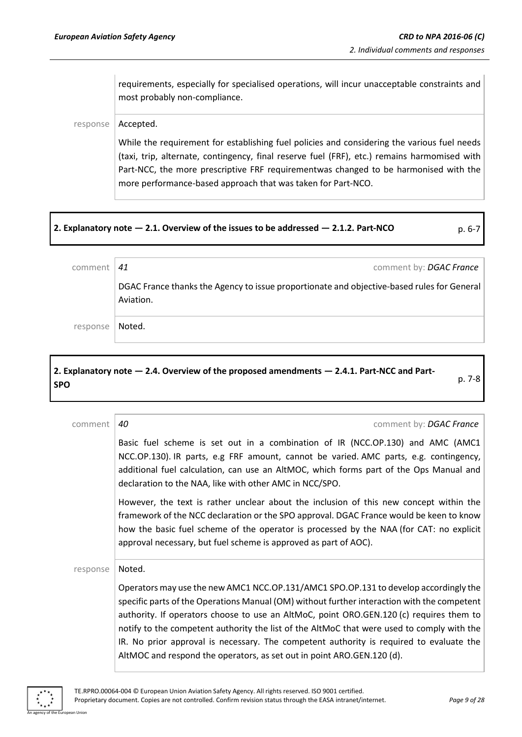requirements, especially for specialised operations, will incur unacceptable constraints and most probably non-compliance.

#### response | Accepted.

While the requirement for establishing fuel policies and considering the various fuel needs (taxi, trip, alternate, contingency, final reserve fuel (FRF), etc.) remains harmomised with Part-NCC, the more prescriptive FRF requirementwas changed to be harmonised with the more performance-based approach that was taken for Part-NCO.

#### **2. Explanatory note — 2.1. Overview of the issues to be addressed — 2.1.2. Part-NCO** p. 6-7

| comment  | comment by: DGAC France<br>41                                                                           |
|----------|---------------------------------------------------------------------------------------------------------|
|          | DGAC France thanks the Agency to issue proportionate and objective-based rules for General<br>Aviation. |
| response | Noted.                                                                                                  |

#### **2. Explanatory note — 2.4. Overview of the proposed amendments — 2.4.1. Part-NCC and Part-SPO** p. 7-8

| comment  | 40<br>comment by: DGAC France                                                                                                                                                                                                                                                                                                                                                                                                                                                                                                                     |
|----------|---------------------------------------------------------------------------------------------------------------------------------------------------------------------------------------------------------------------------------------------------------------------------------------------------------------------------------------------------------------------------------------------------------------------------------------------------------------------------------------------------------------------------------------------------|
|          | Basic fuel scheme is set out in a combination of IR (NCC.OP.130) and AMC (AMC1<br>NCC.OP.130). IR parts, e.g FRF amount, cannot be varied. AMC parts, e.g. contingency,<br>additional fuel calculation, can use an AltMOC, which forms part of the Ops Manual and<br>declaration to the NAA, like with other AMC in NCC/SPO.                                                                                                                                                                                                                      |
|          | However, the text is rather unclear about the inclusion of this new concept within the<br>framework of the NCC declaration or the SPO approval. DGAC France would be keen to know<br>how the basic fuel scheme of the operator is processed by the NAA (for CAT: no explicit<br>approval necessary, but fuel scheme is approved as part of AOC).                                                                                                                                                                                                  |
| response | Noted.                                                                                                                                                                                                                                                                                                                                                                                                                                                                                                                                            |
|          | Operators may use the new AMC1 NCC.OP.131/AMC1 SPO.OP.131 to develop accordingly the<br>specific parts of the Operations Manual (OM) without further interaction with the competent<br>authority. If operators choose to use an AltMoC, point ORO.GEN.120 (c) requires them to<br>notify to the competent authority the list of the AltMoC that were used to comply with the<br>IR. No prior approval is necessary. The competent authority is required to evaluate the<br>AltMOC and respond the operators, as set out in point ARO.GEN.120 (d). |

An agency of the European Union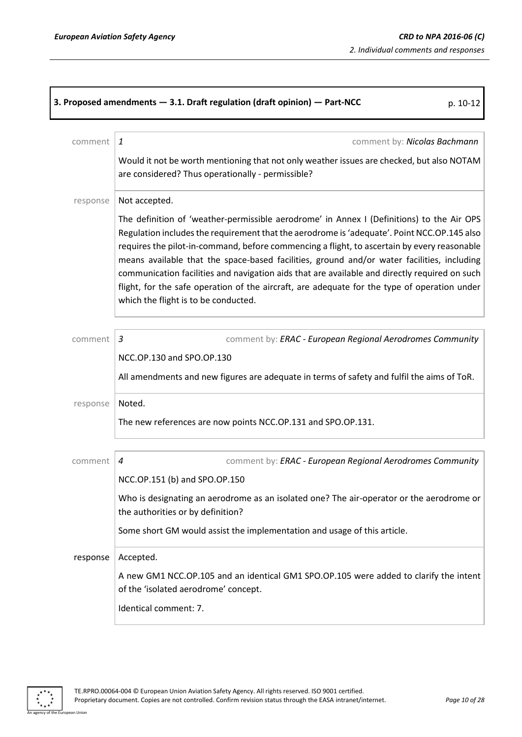٦

|          | 3. Proposed amendments - 3.1. Draft regulation (draft opinion) - Part-NCC<br>p. 10-12                                                                                                                                                                                                                                                                                                                  |
|----------|--------------------------------------------------------------------------------------------------------------------------------------------------------------------------------------------------------------------------------------------------------------------------------------------------------------------------------------------------------------------------------------------------------|
| comment  | $\mathbf{1}$<br>comment by: Nicolas Bachmann                                                                                                                                                                                                                                                                                                                                                           |
|          | Would it not be worth mentioning that not only weather issues are checked, but also NOTAM<br>are considered? Thus operationally - permissible?                                                                                                                                                                                                                                                         |
| response | Not accepted.<br>The definition of 'weather-permissible aerodrome' in Annex I (Definitions) to the Air OPS<br>Regulation includes the requirement that the aerodrome is 'adequate'. Point NCC.OP.145 also<br>requires the pilot-in-command, before commencing a flight, to ascertain by every reasonable<br>means available that the space-based facilities, ground and/or water facilities, including |
|          | communication facilities and navigation aids that are available and directly required on such<br>flight, for the safe operation of the aircraft, are adequate for the type of operation under<br>which the flight is to be conducted.                                                                                                                                                                  |
| comment  | 3<br>comment by: ERAC - European Regional Aerodromes Community                                                                                                                                                                                                                                                                                                                                         |
|          | NCC.OP.130 and SPO.OP.130<br>All amendments and new figures are adequate in terms of safety and fulfil the aims of ToR.                                                                                                                                                                                                                                                                                |
| response | Noted.<br>The new references are now points NCC.OP.131 and SPO.OP.131.                                                                                                                                                                                                                                                                                                                                 |
| comment  | comment by: ERAC - European Regional Aerodromes Community<br>4                                                                                                                                                                                                                                                                                                                                         |
|          | NCC.OP.151 (b) and SPO.OP.150<br>Who is designating an aerodrome as an isolated one? The air-operator or the aerodrome or<br>the authorities or by definition?<br>Some short GM would assist the implementation and usage of this article.                                                                                                                                                             |
| response | Accepted.                                                                                                                                                                                                                                                                                                                                                                                              |
|          | A new GM1 NCC.OP.105 and an identical GM1 SPO.OP.105 were added to clarify the intent<br>of the 'isolated aerodrome' concept.<br>Identical comment: 7.                                                                                                                                                                                                                                                 |

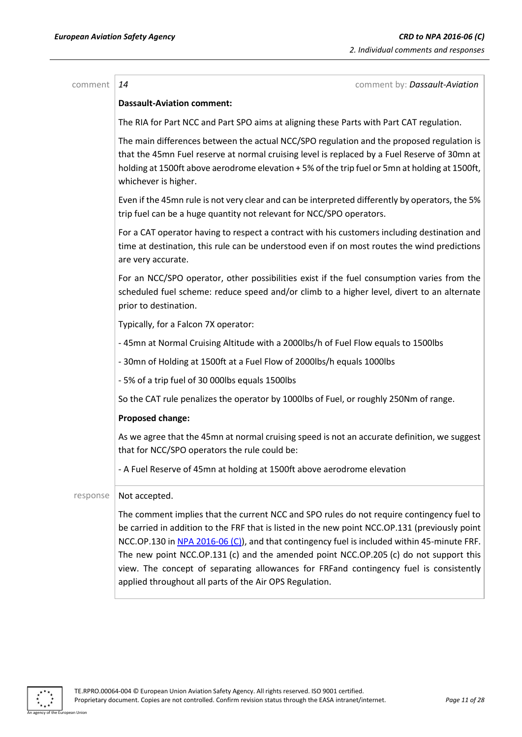| comment  | comment by: Dassault-Aviation<br>14                                                                                                                                                                                                                                                                                                                                                                                                                                                                                                      |
|----------|------------------------------------------------------------------------------------------------------------------------------------------------------------------------------------------------------------------------------------------------------------------------------------------------------------------------------------------------------------------------------------------------------------------------------------------------------------------------------------------------------------------------------------------|
|          | <b>Dassault-Aviation comment:</b>                                                                                                                                                                                                                                                                                                                                                                                                                                                                                                        |
|          | The RIA for Part NCC and Part SPO aims at aligning these Parts with Part CAT regulation.                                                                                                                                                                                                                                                                                                                                                                                                                                                 |
|          | The main differences between the actual NCC/SPO regulation and the proposed regulation is<br>that the 45mn Fuel reserve at normal cruising level is replaced by a Fuel Reserve of 30mn at<br>holding at 1500ft above aerodrome elevation +5% of the trip fuel or 5mn at holding at 1500ft,<br>whichever is higher.                                                                                                                                                                                                                       |
|          | Even if the 45mn rule is not very clear and can be interpreted differently by operators, the 5%<br>trip fuel can be a huge quantity not relevant for NCC/SPO operators.                                                                                                                                                                                                                                                                                                                                                                  |
|          | For a CAT operator having to respect a contract with his customers including destination and<br>time at destination, this rule can be understood even if on most routes the wind predictions<br>are very accurate.                                                                                                                                                                                                                                                                                                                       |
|          | For an NCC/SPO operator, other possibilities exist if the fuel consumption varies from the<br>scheduled fuel scheme: reduce speed and/or climb to a higher level, divert to an alternate<br>prior to destination.                                                                                                                                                                                                                                                                                                                        |
|          | Typically, for a Falcon 7X operator:                                                                                                                                                                                                                                                                                                                                                                                                                                                                                                     |
|          | - 45mn at Normal Cruising Altitude with a 2000lbs/h of Fuel Flow equals to 1500lbs                                                                                                                                                                                                                                                                                                                                                                                                                                                       |
|          | - 30mn of Holding at 1500ft at a Fuel Flow of 2000lbs/h equals 1000lbs                                                                                                                                                                                                                                                                                                                                                                                                                                                                   |
|          | - 5% of a trip fuel of 30 000lbs equals 1500lbs                                                                                                                                                                                                                                                                                                                                                                                                                                                                                          |
|          | So the CAT rule penalizes the operator by 1000lbs of Fuel, or roughly 250Nm of range.                                                                                                                                                                                                                                                                                                                                                                                                                                                    |
|          | Proposed change:                                                                                                                                                                                                                                                                                                                                                                                                                                                                                                                         |
|          | As we agree that the 45mn at normal cruising speed is not an accurate definition, we suggest<br>that for NCC/SPO operators the rule could be:                                                                                                                                                                                                                                                                                                                                                                                            |
|          | - A Fuel Reserve of 45mn at holding at 1500ft above aerodrome elevation                                                                                                                                                                                                                                                                                                                                                                                                                                                                  |
| response | Not accepted.                                                                                                                                                                                                                                                                                                                                                                                                                                                                                                                            |
|          | The comment implies that the current NCC and SPO rules do not require contingency fuel to<br>be carried in addition to the FRF that is listed in the new point NCC.OP.131 (previously point<br>NCC.OP.130 in NPA 2016-06 (C)), and that contingency fuel is included within 45-minute FRF.<br>The new point NCC.OP.131 (c) and the amended point NCC.OP.205 (c) do not support this<br>view. The concept of separating allowances for FRFand contingency fuel is consistently<br>applied throughout all parts of the Air OPS Regulation. |

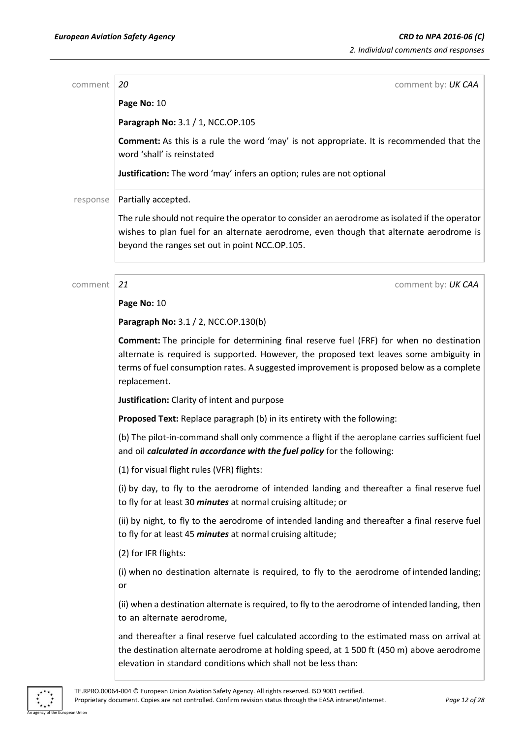| comment  | 20<br>comment by: UK CAA                                                                                                                                                                                                                                                                              |
|----------|-------------------------------------------------------------------------------------------------------------------------------------------------------------------------------------------------------------------------------------------------------------------------------------------------------|
|          | Page No: 10                                                                                                                                                                                                                                                                                           |
|          | Paragraph No: 3.1 / 1, NCC.OP.105                                                                                                                                                                                                                                                                     |
|          | <b>Comment:</b> As this is a rule the word 'may' is not appropriate. It is recommended that the<br>word 'shall' is reinstated                                                                                                                                                                         |
|          | Justification: The word 'may' infers an option; rules are not optional                                                                                                                                                                                                                                |
| response | Partially accepted.                                                                                                                                                                                                                                                                                   |
|          | The rule should not require the operator to consider an aerodrome as isolated if the operator<br>wishes to plan fuel for an alternate aerodrome, even though that alternate aerodrome is<br>beyond the ranges set out in point NCC.OP.105.                                                            |
| comment  | 21<br>comment by: UK CAA                                                                                                                                                                                                                                                                              |
|          | Page No: 10                                                                                                                                                                                                                                                                                           |
|          | Paragraph No: 3.1 / 2, NCC.OP.130(b)                                                                                                                                                                                                                                                                  |
|          | <b>Comment:</b> The principle for determining final reserve fuel (FRF) for when no destination<br>alternate is required is supported. However, the proposed text leaves some ambiguity in<br>terms of fuel consumption rates. A suggested improvement is proposed below as a complete<br>replacement. |
|          | Justification: Clarity of intent and purpose                                                                                                                                                                                                                                                          |
|          | Proposed Text: Replace paragraph (b) in its entirety with the following:                                                                                                                                                                                                                              |
|          | (b) The pilot-in-command shall only commence a flight if the aeroplane carries sufficient fuel<br>and oil calculated in accordance with the fuel policy for the following:                                                                                                                            |
|          | (1) for visual flight rules (VFR) flights:                                                                                                                                                                                                                                                            |
|          | (i) by day, to fly to the aerodrome of intended landing and thereafter a final reserve fuel<br>to fly for at least 30 <i>minutes</i> at normal cruising altitude; or                                                                                                                                  |
|          | (ii) by night, to fly to the aerodrome of intended landing and thereafter a final reserve fuel<br>to fly for at least 45 <i>minutes</i> at normal cruising altitude;                                                                                                                                  |
|          | (2) for IFR flights:                                                                                                                                                                                                                                                                                  |
|          | (i) when no destination alternate is required, to fly to the aerodrome of intended landing;<br>or                                                                                                                                                                                                     |
|          | (ii) when a destination alternate is required, to fly to the aerodrome of intended landing, then<br>to an alternate aerodrome,                                                                                                                                                                        |
|          | and thereafter a final reserve fuel calculated according to the estimated mass on arrival at<br>the destination alternate aerodrome at holding speed, at 1 500 ft (450 m) above aerodrome<br>elevation in standard conditions which shall not be less than:                                           |
|          |                                                                                                                                                                                                                                                                                                       |

n Union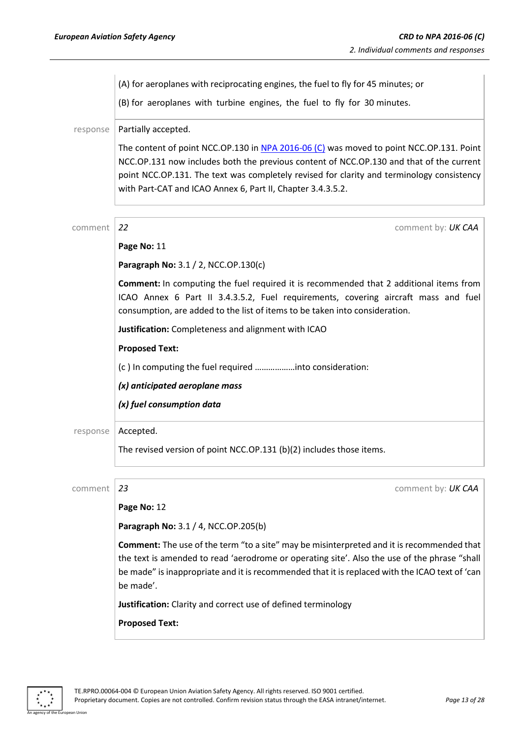(A) for aeroplanes with reciprocating engines, the fuel to fly for 45 minutes; or (B) for aeroplanes with turbine engines, the fuel to fly for 30 minutes. response | Partially accepted. The content of point NCC.OP.130 in NPA [2016-06](https://www.easa.europa.eu/document-library/notices-of-proposed-amendment/npa-2016-06-c) (C) was moved to point NCC.OP.131. Point NCC.OP.131 now includes both the previous content of NCC.OP.130 and that of the current point NCC.OP.131. The text was completely revised for clarity and terminology consistency with Part-CAT and ICAO Annex 6, Part II, Chapter 3.4.3.5.2. comment *22* comment by: *UK CAA* **Page No:** 11 **Paragraph No:** 3.1 / 2, NCC.OP.130(c) **Comment:** In computing the fuel required it is recommended that 2 additional items from ICAO Annex 6 Part II 3.4.3.5.2, Fuel requirements, covering aircraft mass and fuel consumption, are added to the list of items to be taken into consideration. **Justification:** Completeness and alignment with ICAO **Proposed Text:** (c ) In computing the fuel required ………………into consideration: *(x) anticipated aeroplane mass (x) fuel consumption data* response | Accepted. The revised version of point NCC.OP.131 (b)(2) includes those items. comment *23* comment by: *UK CAA* **Page No:** 12 **Paragraph No:** 3.1 / 4, NCC.OP.205(b) **Comment:** The use of the term "to a site" may be misinterpreted and it is recommended that the text is amended to read 'aerodrome or operating site'. Also the use of the phrase "shall be made" is inappropriate and it is recommended that it is replaced with the ICAO text of 'can be made'.

**Justification:** Clarity and correct use of defined terminology

**Proposed Text:**

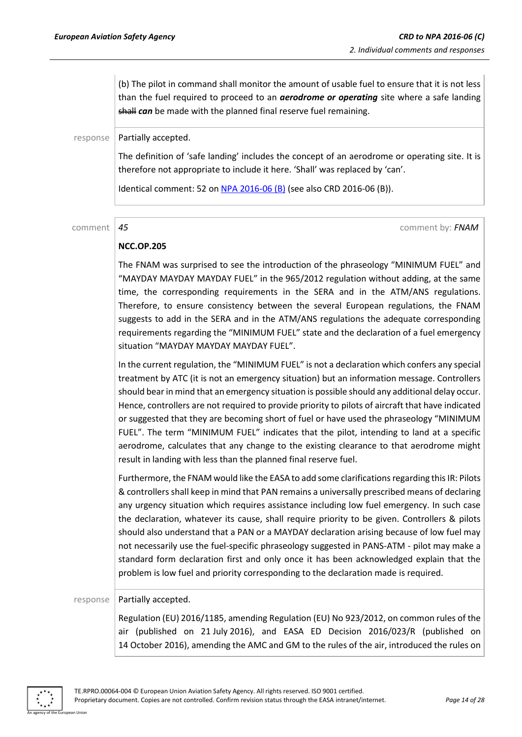(b) The pilot in command shall monitor the amount of usable fuel to ensure that it is not less than the fuel required to proceed to an *aerodrome or operating* site where a safe landing shall *can* be made with the planned final reserve fuel remaining.

 $response$  | Partially accepted.

The definition of 'safe landing' includes the concept of an aerodrome or operating site. It is therefore not appropriate to include it here. 'Shall' was replaced by 'can'.

Identical comment: 52 on [NPA 2016-06](https://www.easa.europa.eu/document-library/notices-of-proposed-amendment/npa-2016-06-b) (B) (see also CRD 2016-06 (B)).

comment *45* comment by: *FNAM*

#### **NCC.OP.205**

The FNAM was surprised to see the introduction of the phraseology "MINIMUM FUEL" and "MAYDAY MAYDAY MAYDAY FUEL" in the 965/2012 regulation without adding, at the same time, the corresponding requirements in the SERA and in the ATM/ANS regulations. Therefore, to ensure consistency between the several European regulations, the FNAM suggests to add in the SERA and in the ATM/ANS regulations the adequate corresponding requirements regarding the "MINIMUM FUEL" state and the declaration of a fuel emergency situation "MAYDAY MAYDAY MAYDAY FUEL".

In the current regulation, the "MINIMUM FUEL" is not a declaration which confers any special treatment by ATC (it is not an emergency situation) but an information message. Controllers should bear in mind that an emergency situation is possible should any additional delay occur. Hence, controllers are not required to provide priority to pilots of aircraft that have indicated or suggested that they are becoming short of fuel or have used the phraseology "MINIMUM FUEL". The term "MINIMUM FUEL" indicates that the pilot, intending to land at a specific aerodrome, calculates that any change to the existing clearance to that aerodrome might result in landing with less than the planned final reserve fuel.

Furthermore, the FNAM would like the EASA to add some clarifications regarding this IR: Pilots & controllers shall keep in mind that PAN remains a universally prescribed means of declaring any urgency situation which requires assistance including low fuel emergency. In such case the declaration, whatever its cause, shall require priority to be given. Controllers & pilots should also understand that a PAN or a MAYDAY declaration arising because of low fuel may not necessarily use the fuel-specific phraseology suggested in PANS-ATM - pilot may make a standard form declaration first and only once it has been acknowledged explain that the problem is low fuel and priority corresponding to the declaration made is required.

#### $response$  Partially accepted.

Regulation (EU) 2016/1185, amending Regulation (EU) No 923/2012, on common rules of the air (published on 21 July 2016), and EASA ED Decision 2016/023/R (published on 14 October 2016), amending the AMC and GM to the rules of the air, introduced the rules on

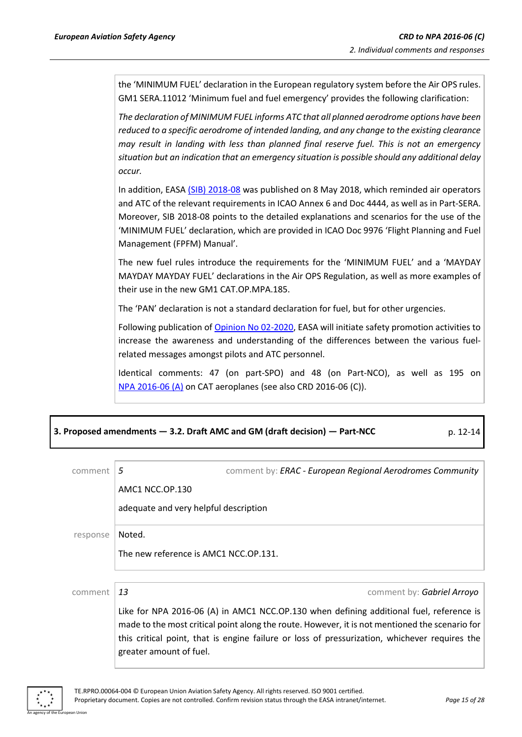the 'MINIMUM FUEL' declaration in the European regulatory system before the Air OPS rules. GM1 SERA.11012 'Minimum fuel and fuel emergency' provides the following clarification:

*The declaration of MINIMUM FUEL informs ATC that all planned aerodrome options have been reduced to a specific aerodrome of intended landing, and any change to the existing clearance may result in landing with less than planned final reserve fuel. This is not an emergency situation but an indication that an emergency situation is possible should any additional delay occur.*

In addition, EASA [\(SIB\) 2018-08](https://ad.easa.europa.eu/ad/2018-08) was published on 8 May 2018, which reminded air operators and ATC of the relevant requirements in ICAO Annex 6 and Doc 4444, as well as in Part-SERA. Moreover, SIB 2018-08 points to the detailed explanations and scenarios for the use of the 'MINIMUM FUEL' declaration, which are provided in ICAO Doc 9976 'Flight Planning and Fuel Management (FPFM) Manual'.

The new fuel rules introduce the requirements for the 'MINIMUM FUEL' and a 'MAYDAY MAYDAY MAYDAY FUEL' declarations in the Air OPS Regulation, as well as more examples of their use in the new GM1 CAT.OP.MPA.185.

The 'PAN' declaration is not a standard declaration for fuel, but for other urgencies.

Following publication o[f Opinion No 02-2020,](https://www.easa.europa.eu/document-library/opinions/opinion-022020) EASA will initiate safety promotion activities to increase the awareness and understanding of the differences between the various fuelrelated messages amongst pilots and ATC personnel.

Identical comments: 47 (on part-SPO) and 48 (on Part-NCO), as well as 195 on NPA [2016-06](https://www.easa.europa.eu/document-library/notices-of-proposed-amendment/npa-2016-06) (A) on CAT aeroplanes (see also CRD 2016-06 (C)).

| 3. Proposed amendments - 3.2. Draft AMC and GM (draft decision) - Part-NCC | $p. 12 - 14$ |
|----------------------------------------------------------------------------|--------------|
|----------------------------------------------------------------------------|--------------|

| commen   | 5                                     | comment by: ERAC - European Regional Aerodromes Community                                                                                                                                                                                                                                  |
|----------|---------------------------------------|--------------------------------------------------------------------------------------------------------------------------------------------------------------------------------------------------------------------------------------------------------------------------------------------|
|          | AMC1 NCC.OP.130                       |                                                                                                                                                                                                                                                                                            |
|          | adequate and very helpful description |                                                                                                                                                                                                                                                                                            |
| response | Noted.                                |                                                                                                                                                                                                                                                                                            |
|          | The new reference is AMC1 NCC.OP.131. |                                                                                                                                                                                                                                                                                            |
|          |                                       |                                                                                                                                                                                                                                                                                            |
| comment  | 13                                    | comment by: Gabriel Arroyo                                                                                                                                                                                                                                                                 |
|          | greater amount of fuel.               | Like for NPA 2016-06 (A) in AMC1 NCC.OP.130 when defining additional fuel, reference is<br>made to the most critical point along the route. However, it is not mentioned the scenario for<br>this critical point, that is engine failure or loss of pressurization, whichever requires the |

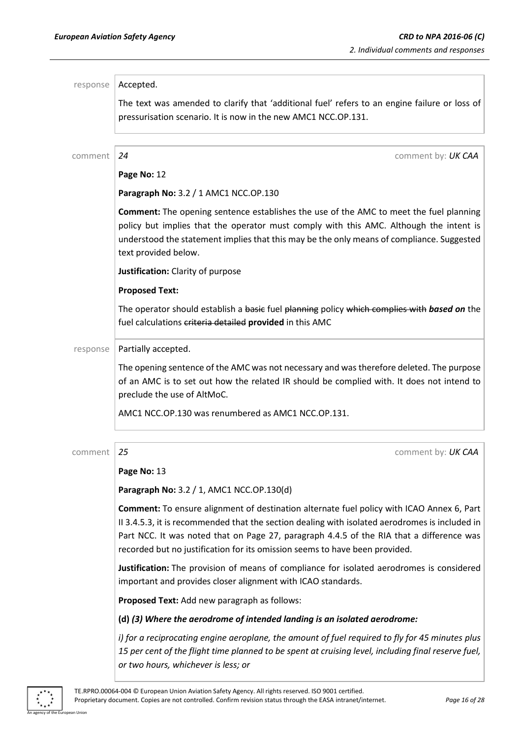| response | Accepted.                                                                                                                                                                                                                                                                                                                                                              |
|----------|------------------------------------------------------------------------------------------------------------------------------------------------------------------------------------------------------------------------------------------------------------------------------------------------------------------------------------------------------------------------|
|          | The text was amended to clarify that 'additional fuel' refers to an engine failure or loss of<br>pressurisation scenario. It is now in the new AMC1 NCC.OP.131.                                                                                                                                                                                                        |
| comment  | 24<br>comment by: UK CAA                                                                                                                                                                                                                                                                                                                                               |
|          | Page No: 12                                                                                                                                                                                                                                                                                                                                                            |
|          | Paragraph No: 3.2 / 1 AMC1 NCC.OP.130                                                                                                                                                                                                                                                                                                                                  |
|          | <b>Comment:</b> The opening sentence establishes the use of the AMC to meet the fuel planning<br>policy but implies that the operator must comply with this AMC. Although the intent is<br>understood the statement implies that this may be the only means of compliance. Suggested<br>text provided below.                                                           |
|          | Justification: Clarity of purpose                                                                                                                                                                                                                                                                                                                                      |
|          | <b>Proposed Text:</b>                                                                                                                                                                                                                                                                                                                                                  |
|          | The operator should establish a basic fuel planning policy which complies with based on the<br>fuel calculations criteria detailed provided in this AMC                                                                                                                                                                                                                |
| response | Partially accepted.                                                                                                                                                                                                                                                                                                                                                    |
|          | The opening sentence of the AMC was not necessary and was therefore deleted. The purpose<br>of an AMC is to set out how the related IR should be complied with. It does not intend to<br>preclude the use of AltMoC.                                                                                                                                                   |
|          | AMC1 NCC.OP.130 was renumbered as AMC1 NCC.OP.131.                                                                                                                                                                                                                                                                                                                     |
| comment  | 25<br>comment by: UK CAA                                                                                                                                                                                                                                                                                                                                               |
|          | Page No: 13                                                                                                                                                                                                                                                                                                                                                            |
|          | Paragraph No: 3.2 / 1, AMC1 NCC.OP.130(d)                                                                                                                                                                                                                                                                                                                              |
|          | Comment: To ensure alignment of destination alternate fuel policy with ICAO Annex 6, Part<br>II 3.4.5.3, it is recommended that the section dealing with isolated aerodromes is included in<br>Part NCC. It was noted that on Page 27, paragraph 4.4.5 of the RIA that a difference was<br>recorded but no justification for its omission seems to have been provided. |
|          | Justification: The provision of means of compliance for isolated aerodromes is considered<br>important and provides closer alignment with ICAO standards.                                                                                                                                                                                                              |
|          | Proposed Text: Add new paragraph as follows:                                                                                                                                                                                                                                                                                                                           |
|          | (d) (3) Where the aerodrome of intended landing is an isolated aerodrome:                                                                                                                                                                                                                                                                                              |
|          | i) for a reciprocating engine aeroplane, the amount of fuel required to fly for 45 minutes plus<br>15 per cent of the flight time planned to be spent at cruising level, including final reserve fuel,<br>or two hours, whichever is less; or                                                                                                                          |

 $*$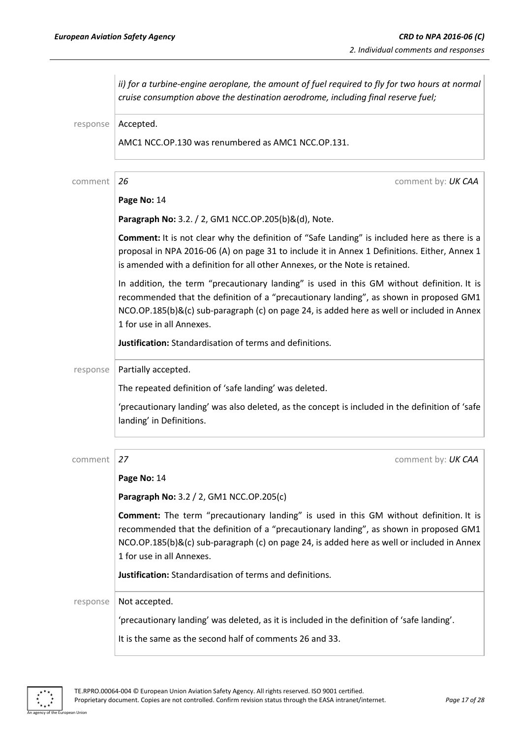| Accepted.<br>response<br>AMC1 NCC.OP.130 was renumbered as AMC1 NCC.OP.131.<br>26<br>comment by: UK CAA<br>comment<br>Page No: 14<br>Paragraph No: 3.2. / 2, GM1 NCC.OP.205(b)&(d), Note.                                                                                                                          |  |
|--------------------------------------------------------------------------------------------------------------------------------------------------------------------------------------------------------------------------------------------------------------------------------------------------------------------|--|
|                                                                                                                                                                                                                                                                                                                    |  |
|                                                                                                                                                                                                                                                                                                                    |  |
|                                                                                                                                                                                                                                                                                                                    |  |
|                                                                                                                                                                                                                                                                                                                    |  |
|                                                                                                                                                                                                                                                                                                                    |  |
| Comment: It is not clear why the definition of "Safe Landing" is included here as there is a<br>proposal in NPA 2016-06 (A) on page 31 to include it in Annex 1 Definitions. Either, Annex 1<br>is amended with a definition for all other Annexes, or the Note is retained.                                       |  |
| In addition, the term "precautionary landing" is used in this GM without definition. It is<br>recommended that the definition of a "precautionary landing", as shown in proposed GM1<br>NCO.OP.185(b)&(c) sub-paragraph (c) on page 24, is added here as well or included in Annex                                 |  |
| 1 for use in all Annexes.                                                                                                                                                                                                                                                                                          |  |
| Justification: Standardisation of terms and definitions.                                                                                                                                                                                                                                                           |  |
| Partially accepted.<br>response                                                                                                                                                                                                                                                                                    |  |
| The repeated definition of 'safe landing' was deleted.                                                                                                                                                                                                                                                             |  |
| 'precautionary landing' was also deleted, as the concept is included in the definition of 'safe<br>landing' in Definitions.                                                                                                                                                                                        |  |
| 27<br>comment by: UK CAA<br>comment                                                                                                                                                                                                                                                                                |  |
| Page No: 14                                                                                                                                                                                                                                                                                                        |  |
| Paragraph No: 3.2 / 2, GM1 NCC.OP.205(c)                                                                                                                                                                                                                                                                           |  |
| <b>Comment:</b> The term "precautionary landing" is used in this GM without definition. It is<br>recommended that the definition of a "precautionary landing", as shown in proposed GM1<br>NCO.OP.185(b)&(c) sub-paragraph (c) on page 24, is added here as well or included in Annex<br>1 for use in all Annexes. |  |
| Justification: Standardisation of terms and definitions.                                                                                                                                                                                                                                                           |  |
| Not accepted.<br>response<br>'precautionary landing' was deleted, as it is included in the definition of 'safe landing'.<br>It is the same as the second half of comments 26 and 33.                                                                                                                               |  |

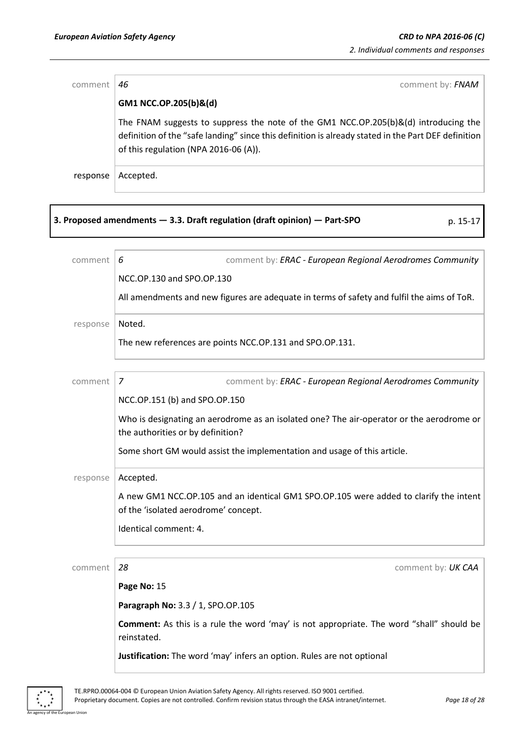| comment  | comment by: FNAM<br>46                                                                                                                                                                                                              |
|----------|-------------------------------------------------------------------------------------------------------------------------------------------------------------------------------------------------------------------------------------|
|          | GM1 NCC.OP.205(b)&(d)                                                                                                                                                                                                               |
|          | The FNAM suggests to suppress the note of the GM1 NCC.OP.205(b)&(d) introducing the<br>definition of the "safe landing" since this definition is already stated in the Part DEF definition<br>of this regulation (NPA 2016-06 (A)). |
| response | Accepted.                                                                                                                                                                                                                           |
|          |                                                                                                                                                                                                                                     |

**3. Proposed amendments — 3.3. Draft regulation (draft opinion) — Part-SPO** p. 15-17

| comment by: ERAC - European Regional Aerodromes Community<br>6                                                                |
|-------------------------------------------------------------------------------------------------------------------------------|
| NCC.OP.130 and SPO.OP.130                                                                                                     |
| All amendments and new figures are adequate in terms of safety and fulfil the aims of ToR.                                    |
| Noted.                                                                                                                        |
| The new references are points NCC.OP.131 and SPO.OP.131.                                                                      |
| comment by: ERAC - European Regional Aerodromes Community<br>7                                                                |
| NCC.OP.151 (b) and SPO.OP.150                                                                                                 |
| Who is designating an aerodrome as an isolated one? The air-operator or the aerodrome or<br>the authorities or by definition? |
| Some short GM would assist the implementation and usage of this article.                                                      |
| Accepted.                                                                                                                     |
| A new GM1 NCC.OP.105 and an identical GM1 SPO.OP.105 were added to clarify the intent<br>of the 'isolated aerodrome' concept. |
| Identical comment: 4.                                                                                                         |
| 28<br>comment by: UK CAA                                                                                                      |
| Page No: 15                                                                                                                   |
| Paragraph No: 3.3 / 1, SPO.OP.105                                                                                             |
| <b>Comment:</b> As this is a rule the word 'may' is not appropriate. The word "shall" should be<br>reinstated.                |
| Justification: The word 'may' infers an option. Rules are not optional                                                        |
|                                                                                                                               |

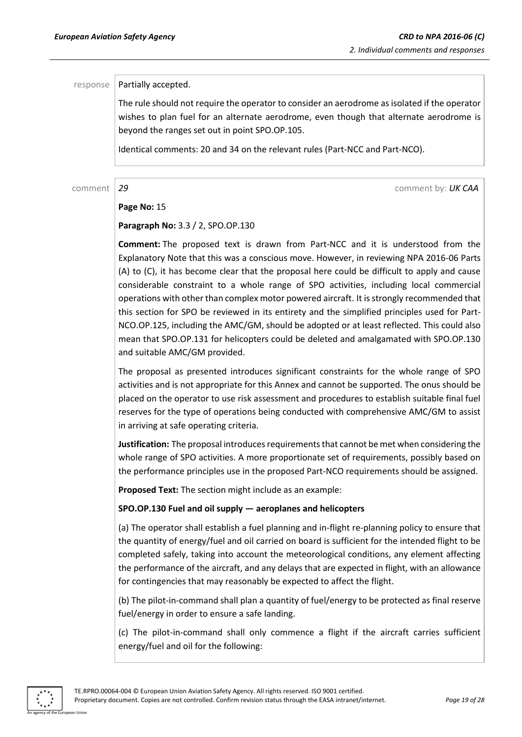#### $response$  | Partially accepted.

The rule should not require the operator to consider an aerodrome as isolated if the operator wishes to plan fuel for an alternate aerodrome, even though that alternate aerodrome is beyond the ranges set out in point SPO.OP.105.

Identical comments: 20 and 34 on the relevant rules (Part-NCC and Part-NCO).

comment *29* comment by: *UK CAA*

#### **Page No:** 15

**Paragraph No:** 3.3 / 2, SPO.OP.130

**Comment:** The proposed text is drawn from Part-NCC and it is understood from the Explanatory Note that this was a conscious move. However, in reviewing NPA 2016-06 Parts (A) to (C), it has become clear that the proposal here could be difficult to apply and cause considerable constraint to a whole range of SPO activities, including local commercial operations with other than complex motor powered aircraft. It is strongly recommended that this section for SPO be reviewed in its entirety and the simplified principles used for Part-NCO.OP.125, including the AMC/GM, should be adopted or at least reflected. This could also mean that SPO.OP.131 for helicopters could be deleted and amalgamated with SPO.OP.130 and suitable AMC/GM provided.

The proposal as presented introduces significant constraints for the whole range of SPO activities and is not appropriate for this Annex and cannot be supported. The onus should be placed on the operator to use risk assessment and procedures to establish suitable final fuel reserves for the type of operations being conducted with comprehensive AMC/GM to assist in arriving at safe operating criteria.

**Justification:** The proposal introduces requirements that cannot be met when considering the whole range of SPO activities. A more proportionate set of requirements, possibly based on the performance principles use in the proposed Part-NCO requirements should be assigned.

**Proposed Text:** The section might include as an example:

#### **SPO.OP.130 Fuel and oil supply — aeroplanes and helicopters**

(a) The operator shall establish a fuel planning and in-flight re-planning policy to ensure that the quantity of energy/fuel and oil carried on board is sufficient for the intended flight to be completed safely, taking into account the meteorological conditions, any element affecting the performance of the aircraft, and any delays that are expected in flight, with an allowance for contingencies that may reasonably be expected to affect the flight.

(b) The pilot-in-command shall plan a quantity of fuel/energy to be protected as final reserve fuel/energy in order to ensure a safe landing.

(c) The pilot-in-command shall only commence a flight if the aircraft carries sufficient energy/fuel and oil for the following:

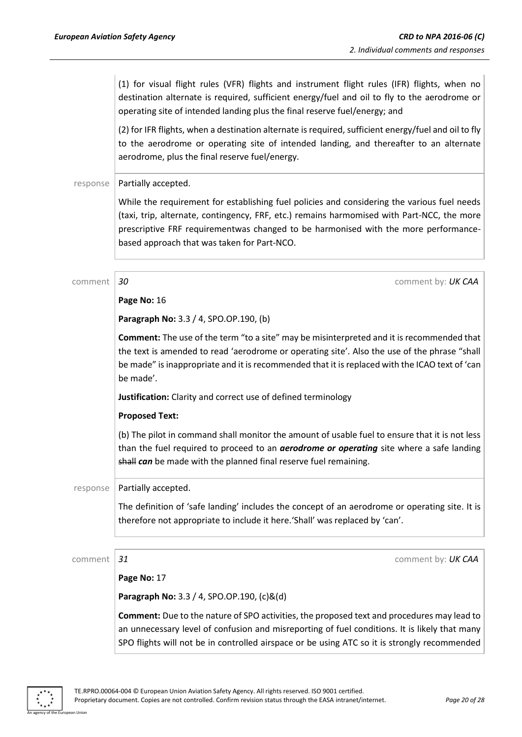(1) for visual flight rules (VFR) flights and instrument flight rules (IFR) flights, when no destination alternate is required, sufficient energy/fuel and oil to fly to the aerodrome or operating site of intended landing plus the final reserve fuel/energy; and

(2) for IFR flights, when a destination alternate is required, sufficient energy/fuel and oil to fly to the aerodrome or operating site of intended landing, and thereafter to an alternate aerodrome, plus the final reserve fuel/energy.

#### response | Partially accepted.

While the requirement for establishing fuel policies and considering the various fuel needs (taxi, trip, alternate, contingency, FRF, etc.) remains harmomised with Part-NCC, the more prescriptive FRF requirementwas changed to be harmonised with the more performancebased approach that was taken for Part-NCO.

| comment  | 30<br>comment by: UK CAA                                                                                                                                                                                                                                                                                        |
|----------|-----------------------------------------------------------------------------------------------------------------------------------------------------------------------------------------------------------------------------------------------------------------------------------------------------------------|
|          | Page No: 16                                                                                                                                                                                                                                                                                                     |
|          | Paragraph No: 3.3 / 4, SPO.OP.190, (b)                                                                                                                                                                                                                                                                          |
|          | <b>Comment:</b> The use of the term "to a site" may be misinterpreted and it is recommended that<br>the text is amended to read 'aerodrome or operating site'. Also the use of the phrase "shall<br>be made" is inappropriate and it is recommended that it is replaced with the ICAO text of 'can<br>be made'. |
|          | Justification: Clarity and correct use of defined terminology                                                                                                                                                                                                                                                   |
|          | <b>Proposed Text:</b>                                                                                                                                                                                                                                                                                           |
|          | (b) The pilot in command shall monitor the amount of usable fuel to ensure that it is not less<br>than the fuel required to proceed to an <b>aerodrome or operating</b> site where a safe landing<br>shall can be made with the planned final reserve fuel remaining.                                           |
| response | Partially accepted.                                                                                                                                                                                                                                                                                             |
|          | The definition of 'safe landing' includes the concept of an aerodrome or operating site. It is<br>therefore not appropriate to include it here. 'Shall' was replaced by 'can'.                                                                                                                                  |
| comment  | 31<br>comment by: UK CAA                                                                                                                                                                                                                                                                                        |
|          | Page No: 17                                                                                                                                                                                                                                                                                                     |
|          | Paragraph No: 3.3 / 4, SPO.OP.190, (c)&(d)                                                                                                                                                                                                                                                                      |
|          | Comment: Due to the nature of SPO activities, the proposed text and procedures may lead to<br>an unnecessary level of confusion and misreporting of fuel conditions. It is likely that many<br>SPO flights will not be in controlled airspace or be using ATC so it is strongly recommended                     |

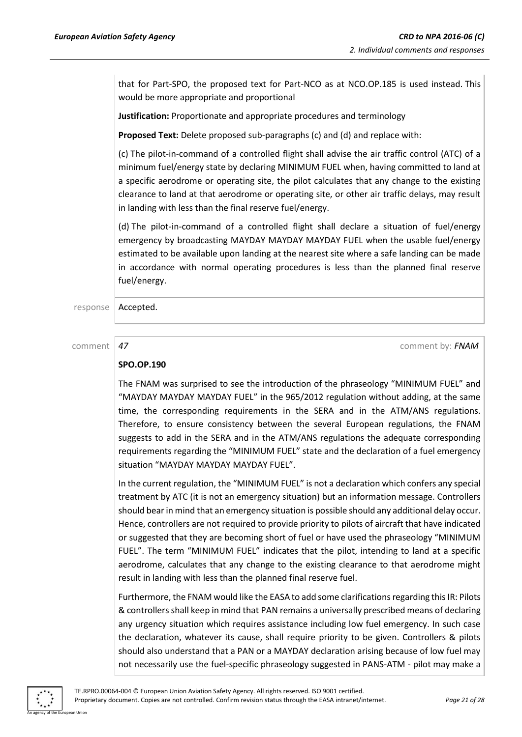that for Part-SPO, the proposed text for Part-NCO as at NCO.OP.185 is used instead. This would be more appropriate and proportional

**Justification:** Proportionate and appropriate procedures and terminology

**Proposed Text:** Delete proposed sub-paragraphs (c) and (d) and replace with:

(c) The pilot-in-command of a controlled flight shall advise the air traffic control (ATC) of a minimum fuel/energy state by declaring MINIMUM FUEL when, having committed to land at a specific aerodrome or operating site, the pilot calculates that any change to the existing clearance to land at that aerodrome or operating site, or other air traffic delays, may result in landing with less than the final reserve fuel/energy.

(d) The pilot-in-command of a controlled flight shall declare a situation of fuel/energy emergency by broadcasting MAYDAY MAYDAY MAYDAY FUEL when the usable fuel/energy estimated to be available upon landing at the nearest site where a safe landing can be made in accordance with normal operating procedures is less than the planned final reserve fuel/energy.

response | Accepted.

comment *47* comment by: *FNAM*

#### **SPO.OP.190**

The FNAM was surprised to see the introduction of the phraseology "MINIMUM FUEL" and "MAYDAY MAYDAY MAYDAY FUEL" in the 965/2012 regulation without adding, at the same time, the corresponding requirements in the SERA and in the ATM/ANS regulations. Therefore, to ensure consistency between the several European regulations, the FNAM suggests to add in the SERA and in the ATM/ANS regulations the adequate corresponding requirements regarding the "MINIMUM FUEL" state and the declaration of a fuel emergency situation "MAYDAY MAYDAY MAYDAY FUEL".

In the current regulation, the "MINIMUM FUEL" is not a declaration which confers any special treatment by ATC (it is not an emergency situation) but an information message. Controllers should bear in mind that an emergency situation is possible should any additional delay occur. Hence, controllers are not required to provide priority to pilots of aircraft that have indicated or suggested that they are becoming short of fuel or have used the phraseology "MINIMUM FUEL". The term "MINIMUM FUEL" indicates that the pilot, intending to land at a specific aerodrome, calculates that any change to the existing clearance to that aerodrome might result in landing with less than the planned final reserve fuel.

Furthermore, the FNAM would like the EASA to add some clarifications regarding this IR: Pilots & controllers shall keep in mind that PAN remains a universally prescribed means of declaring any urgency situation which requires assistance including low fuel emergency. In such case the declaration, whatever its cause, shall require priority to be given. Controllers & pilots should also understand that a PAN or a MAYDAY declaration arising because of low fuel may not necessarily use the fuel-specific phraseology suggested in PANS-ATM - pilot may make a

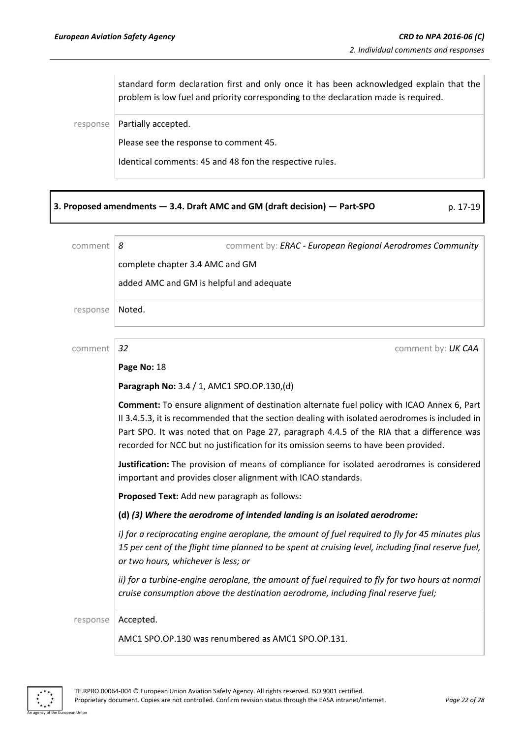standard form declaration first and only once it has been acknowledged explain that the problem is low fuel and priority corresponding to the declaration made is required.

 $response$  Partially accepted.

Please see the response to comment 45.

Identical comments: 45 and 48 fon the respective rules.

| 3. Proposed amendments - 3.4. Draft AMC and GM (draft decision) - Part-SPO | p. 17-19 |
|----------------------------------------------------------------------------|----------|
|----------------------------------------------------------------------------|----------|

| comment  | comment by: ERAC - European Regional Aerodromes Community<br>8                                                                                                                                                                                                                                                                                                                 |
|----------|--------------------------------------------------------------------------------------------------------------------------------------------------------------------------------------------------------------------------------------------------------------------------------------------------------------------------------------------------------------------------------|
|          | complete chapter 3.4 AMC and GM                                                                                                                                                                                                                                                                                                                                                |
|          | added AMC and GM is helpful and adequate                                                                                                                                                                                                                                                                                                                                       |
| response | Noted.                                                                                                                                                                                                                                                                                                                                                                         |
| comment  | 32<br>comment by: UK CAA                                                                                                                                                                                                                                                                                                                                                       |
|          | Page No: 18                                                                                                                                                                                                                                                                                                                                                                    |
|          | Paragraph No: 3.4 / 1, AMC1 SPO.OP.130,(d)                                                                                                                                                                                                                                                                                                                                     |
|          | Comment: To ensure alignment of destination alternate fuel policy with ICAO Annex 6, Part<br>II 3.4.5.3, it is recommended that the section dealing with isolated aerodromes is included in<br>Part SPO. It was noted that on Page 27, paragraph 4.4.5 of the RIA that a difference was<br>recorded for NCC but no justification for its omission seems to have been provided. |
|          | Justification: The provision of means of compliance for isolated aerodromes is considered<br>important and provides closer alignment with ICAO standards.                                                                                                                                                                                                                      |
|          | Proposed Text: Add new paragraph as follows:                                                                                                                                                                                                                                                                                                                                   |
|          | (d) (3) Where the aerodrome of intended landing is an isolated aerodrome:                                                                                                                                                                                                                                                                                                      |
|          | i) for a reciprocating engine aeroplane, the amount of fuel required to fly for 45 minutes plus<br>15 per cent of the flight time planned to be spent at cruising level, including final reserve fuel,<br>or two hours, whichever is less; or                                                                                                                                  |
|          | ii) for a turbine-engine aeroplane, the amount of fuel required to fly for two hours at normal<br>cruise consumption above the destination aerodrome, including final reserve fuel;                                                                                                                                                                                            |
| response | Accepted.                                                                                                                                                                                                                                                                                                                                                                      |
|          | AMC1 SPO.OP.130 was renumbered as AMC1 SPO.OP.131.                                                                                                                                                                                                                                                                                                                             |



n Union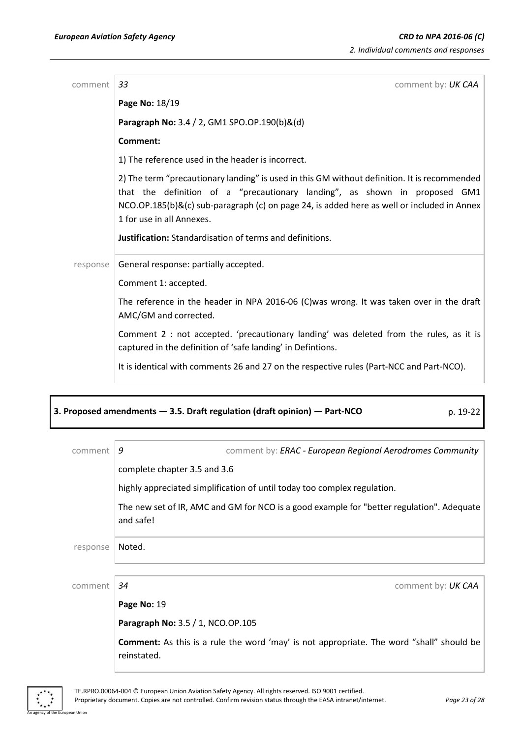| comment  | comment by: UK CAA<br>33                                                                                                                                                                                                                                                                                                                                                 |
|----------|--------------------------------------------------------------------------------------------------------------------------------------------------------------------------------------------------------------------------------------------------------------------------------------------------------------------------------------------------------------------------|
|          | Page No: 18/19                                                                                                                                                                                                                                                                                                                                                           |
|          | Paragraph No: 3.4 / 2, GM1 SPO.OP.190(b)&(d)                                                                                                                                                                                                                                                                                                                             |
|          | <b>Comment:</b>                                                                                                                                                                                                                                                                                                                                                          |
|          | 1) The reference used in the header is incorrect.                                                                                                                                                                                                                                                                                                                        |
|          | 2) The term "precautionary landing" is used in this GM without definition. It is recommended<br>that the definition of a "precautionary landing", as shown in proposed GM1<br>NCO.OP.185(b)&(c) sub-paragraph (c) on page 24, is added here as well or included in Annex<br>1 for use in all Annexes.<br><b>Justification:</b> Standardisation of terms and definitions. |
| response | General response: partially accepted.                                                                                                                                                                                                                                                                                                                                    |
|          | Comment 1: accepted.                                                                                                                                                                                                                                                                                                                                                     |
|          | The reference in the header in NPA 2016-06 (C)was wrong. It was taken over in the draft<br>AMC/GM and corrected.                                                                                                                                                                                                                                                         |
|          | Comment 2 : not accepted. 'precautionary landing' was deleted from the rules, as it is<br>captured in the definition of 'safe landing' in Defintions.                                                                                                                                                                                                                    |
|          | It is identical with comments 26 and 27 on the respective rules (Part-NCC and Part-NCO).                                                                                                                                                                                                                                                                                 |

| comment  | comment by: ERAC - European Regional Aerodromes Community<br>9                                                 |
|----------|----------------------------------------------------------------------------------------------------------------|
|          | complete chapter 3.5 and 3.6                                                                                   |
|          | highly appreciated simplification of until today too complex regulation.                                       |
|          | The new set of IR, AMC and GM for NCO is a good example for "better regulation". Adequate<br>and safe!         |
| response | Noted.                                                                                                         |
|          |                                                                                                                |
| comment  | 34<br>comment by: UK CAA                                                                                       |
|          | Page No: 19                                                                                                    |
|          | Paragraph No: 3.5 / 1, NCO.OP.105                                                                              |
|          | <b>Comment:</b> As this is a rule the word 'may' is not appropriate. The word "shall" should be<br>reinstated. |
|          |                                                                                                                |

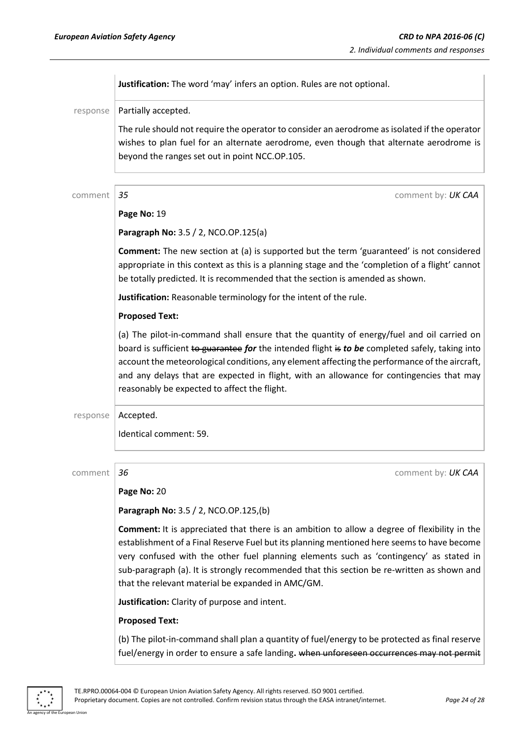|          | Justification: The word 'may' infers an option. Rules are not optional.                                                                                                                                                                                                                                                                                                                                                                   |
|----------|-------------------------------------------------------------------------------------------------------------------------------------------------------------------------------------------------------------------------------------------------------------------------------------------------------------------------------------------------------------------------------------------------------------------------------------------|
| response | Partially accepted.                                                                                                                                                                                                                                                                                                                                                                                                                       |
|          | The rule should not require the operator to consider an aerodrome as isolated if the operator<br>wishes to plan fuel for an alternate aerodrome, even though that alternate aerodrome is<br>beyond the ranges set out in point NCC.OP.105.                                                                                                                                                                                                |
| comment  | 35<br>comment by: UK CAA                                                                                                                                                                                                                                                                                                                                                                                                                  |
|          | Page No: 19                                                                                                                                                                                                                                                                                                                                                                                                                               |
|          | Paragraph No: 3.5 / 2, NCO.OP.125(a)                                                                                                                                                                                                                                                                                                                                                                                                      |
|          | <b>Comment:</b> The new section at (a) is supported but the term 'guaranteed' is not considered<br>appropriate in this context as this is a planning stage and the 'completion of a flight' cannot<br>be totally predicted. It is recommended that the section is amended as shown.                                                                                                                                                       |
|          | Justification: Reasonable terminology for the intent of the rule.                                                                                                                                                                                                                                                                                                                                                                         |
|          | <b>Proposed Text:</b>                                                                                                                                                                                                                                                                                                                                                                                                                     |
|          | (a) The pilot-in-command shall ensure that the quantity of energy/fuel and oil carried on<br>board is sufficient to guarantee for the intended flight is to be completed safely, taking into<br>account the meteorological conditions, any element affecting the performance of the aircraft,<br>and any delays that are expected in flight, with an allowance for contingencies that may<br>reasonably be expected to affect the flight. |
| response | Accepted.                                                                                                                                                                                                                                                                                                                                                                                                                                 |
|          | Identical comment: 59.                                                                                                                                                                                                                                                                                                                                                                                                                    |
| comment  | 36<br>comment by: UK CAA                                                                                                                                                                                                                                                                                                                                                                                                                  |
|          | Page No: 20                                                                                                                                                                                                                                                                                                                                                                                                                               |
|          | Paragraph No: 3.5 / 2, NCO.OP.125,(b)                                                                                                                                                                                                                                                                                                                                                                                                     |
|          | <b>Comment:</b> It is appreciated that there is an ambition to allow a degree of flexibility in the<br>establishment of a Final Reserve Fuel but its planning mentioned here seems to have become<br>very confused with the other fuel planning elements such as 'contingency' as stated in                                                                                                                                               |

**Justification:** Clarity of purpose and intent.

that the relevant material be expanded in AMC/GM.

#### **Proposed Text:**

(b) The pilot-in-command shall plan a quantity of fuel/energy to be protected as final reserve fuel/energy in order to ensure a safe landing. when unforeseen occurrences may not permit

sub-paragraph (a). It is strongly recommended that this section be re-written as shown and



n Unio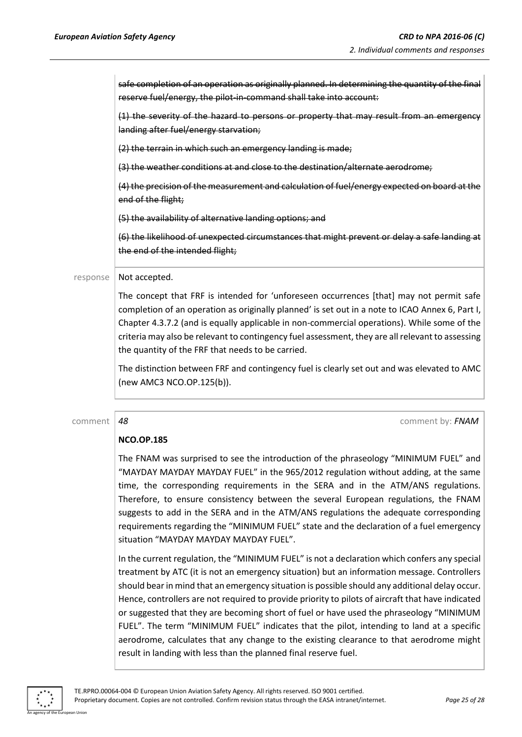safe completion of an operation as originally planned. In determining the quantity of the final reserve fuel/energy, the pilot-in-command shall take into account: (1) the severity of the hazard to persons or property that may result from an emergency landing after fuel/energy starvation; (2) the terrain in which such an emergency landing is made; (3) the weather conditions at and close to the destination/alternate aerodrome; (4) the precision of the measurement and calculation of fuel/energy expected on board at the end of the flight; (5) the availability of alternative landing options; and (6) the likelihood of unexpected circumstances that might prevent or delay a safe landing at the end of the intended flight;  $response$  Not accepted.

The concept that FRF is intended for 'unforeseen occurrences [that] may not permit safe completion of an operation as originally planned' is set out in a note to ICAO Annex 6, Part I, Chapter 4.3.7.2 (and is equally applicable in non-commercial operations). While some of the criteria may also be relevant to contingency fuel assessment, they are all relevant to assessing the quantity of the FRF that needs to be carried.

The distinction between FRF and contingency fuel is clearly set out and was elevated to AMC (new AMC3 NCO.OP.125(b)).

comment *48* comment by: *FNAM*

#### **NCO.OP.185**

The FNAM was surprised to see the introduction of the phraseology "MINIMUM FUEL" and "MAYDAY MAYDAY MAYDAY FUEL" in the 965/2012 regulation without adding, at the same time, the corresponding requirements in the SERA and in the ATM/ANS regulations. Therefore, to ensure consistency between the several European regulations, the FNAM suggests to add in the SERA and in the ATM/ANS regulations the adequate corresponding requirements regarding the "MINIMUM FUEL" state and the declaration of a fuel emergency situation "MAYDAY MAYDAY MAYDAY FUEL".

In the current regulation, the "MINIMUM FUEL" is not a declaration which confers any special treatment by ATC (it is not an emergency situation) but an information message. Controllers should bear in mind that an emergency situation is possible should any additional delay occur. Hence, controllers are not required to provide priority to pilots of aircraft that have indicated or suggested that they are becoming short of fuel or have used the phraseology "MINIMUM FUEL". The term "MINIMUM FUEL" indicates that the pilot, intending to land at a specific aerodrome, calculates that any change to the existing clearance to that aerodrome might result in landing with less than the planned final reserve fuel.

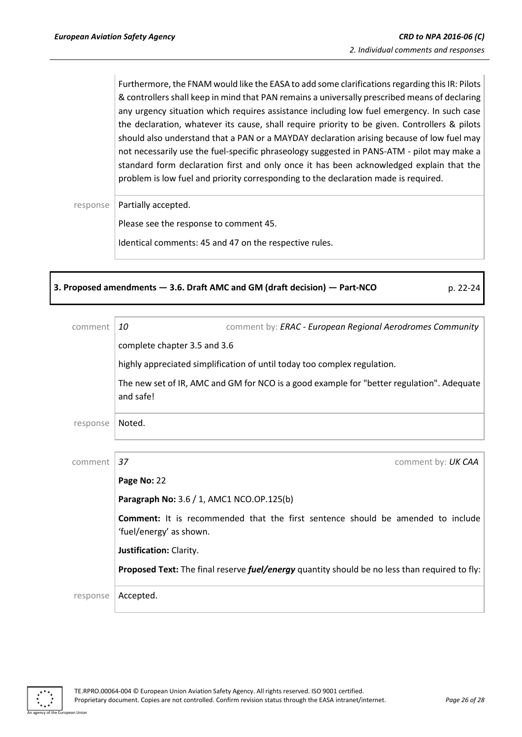Furthermore, the FNAM would like the EASA to add some clarifications regarding this IR: Pilots & controllers shall keep in mind that PAN remains a universally prescribed means of declaring any urgency situation which requires assistance including low fuel emergency. In such case the declaration, whatever its cause, shall require priority to be given. Controllers & pilots should also understand that a PAN or a MAYDAY declaration arising because of low fuel may not necessarily use the fuel-specific phraseology suggested in PANS-ATM - pilot may make a standard form declaration first and only once it has been acknowledged explain that the problem is low fuel and priority corresponding to the declaration made is required.

response | Partially accepted.

Please see the response to comment 45.

Identical comments: 45 and 47 on the respective rules.

#### **3. Proposed amendments — 3.6. Draft AMC and GM (draft decision) — Part-NCO** p. 22-24

| comment  | comment by: ERAC - European Regional Aerodromes Community<br>10                                                   |
|----------|-------------------------------------------------------------------------------------------------------------------|
|          | complete chapter 3.5 and 3.6                                                                                      |
|          | highly appreciated simplification of until today too complex regulation.                                          |
|          | The new set of IR, AMC and GM for NCO is a good example for "better regulation". Adequate<br>and safe!            |
| response | Noted.                                                                                                            |
| comment  | 37<br>comment by: UK CAA                                                                                          |
|          | Page No: 22                                                                                                       |
|          | Paragraph No: 3.6 / 1, AMC1 NCO.OP.125(b)                                                                         |
|          | <b>Comment:</b> It is recommended that the first sentence should be amended to include<br>'fuel/energy' as shown. |
|          | Justification: Clarity.                                                                                           |
|          | Proposed Text: The final reserve <i>fuel/energy</i> quantity should be no less than required to fly:              |
| response | Accepted.                                                                                                         |

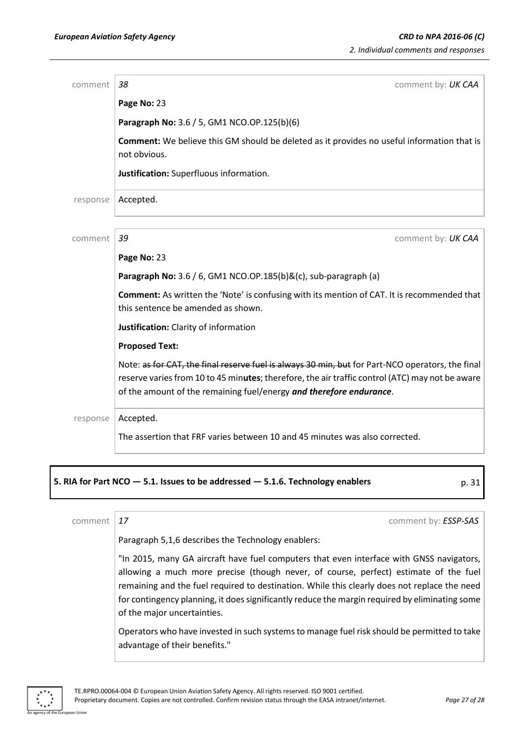| comment  | 38<br>comment by: UK CAA                                                                                                                                                                                                                                                   |
|----------|----------------------------------------------------------------------------------------------------------------------------------------------------------------------------------------------------------------------------------------------------------------------------|
|          | Page No: 23                                                                                                                                                                                                                                                                |
|          | Paragraph No: 3.6 / 5, GM1 NCO.OP.125(b)(6)                                                                                                                                                                                                                                |
|          | Comment: We believe this GM should be deleted as it provides no useful information that is<br>not obvious.                                                                                                                                                                 |
|          | Justification: Superfluous information.                                                                                                                                                                                                                                    |
| response | Accepted.                                                                                                                                                                                                                                                                  |
| comment  | 39<br>comment by: UK CAA                                                                                                                                                                                                                                                   |
|          | Page No: 23                                                                                                                                                                                                                                                                |
|          | Paragraph No: 3.6 / 6, GM1 NCO.OP.185(b)&(c), sub-paragraph (a)                                                                                                                                                                                                            |
|          | <b>Comment:</b> As written the 'Note' is confusing with its mention of CAT. It is recommended that<br>this sentence be amended as shown.                                                                                                                                   |
|          | Justification: Clarity of information                                                                                                                                                                                                                                      |
|          | <b>Proposed Text:</b>                                                                                                                                                                                                                                                      |
|          | Note: as for CAT, the final reserve fuel is always 30 min, but for Part-NCO operators, the final<br>reserve varies from 10 to 45 minutes; therefore, the air traffic control (ATC) may not be aware<br>of the amount of the remaining fuel/energy and therefore endurance. |
| response | Accepted.                                                                                                                                                                                                                                                                  |
|          | The assertion that FRF varies between 10 and 45 minutes was also corrected.                                                                                                                                                                                                |

#### **5. RIA for Part NCO — 5.1. Issues to be addressed — 5.1.6. Technology enablers** p. 31

comment **17** comment **17** comment by: *ESSP-SAS* 

Paragraph 5,1,6 describes the Technology enablers:

"In 2015, many GA aircraft have fuel computers that even interface with GNSS navigators, allowing a much more precise (though never, of course, perfect) estimate of the fuel remaining and the fuel required to destination. While this clearly does not replace the need for contingency planning, it does significantly reduce the margin required by eliminating some of the major uncertainties.

Operators who have invested in such systems to manage fuel risk should be permitted to take advantage of their benefits."